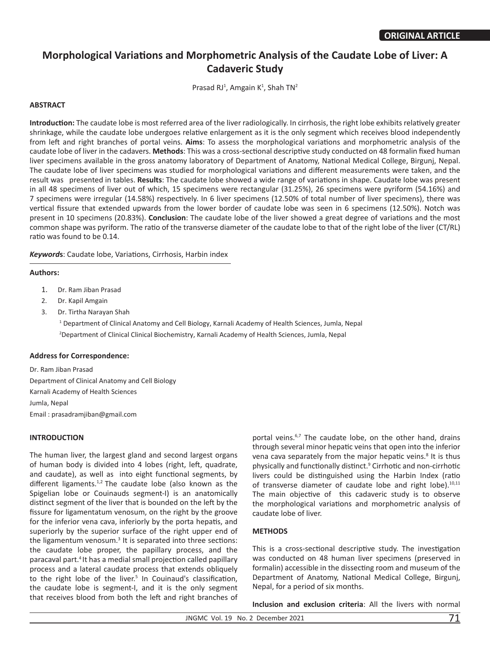# **Morphological Variations and Morphometric Analysis of the Caudate Lobe of Liver: A Cadaveric Study**

Prasad RJ<sup>1</sup>, Amgain K<sup>1</sup>, Shah TN<sup>2</sup>

# **ABSTRACT**

**Introduction:** The caudate lobe is most referred area of the liver radiologically. In cirrhosis, the right lobe exhibits relatively greater shrinkage, while the caudate lobe undergoes relative enlargement as it is the only segment which receives blood independently from left and right branches of portal veins. **Aims**: To assess the morphological variations and morphometric analysis of the caudate lobe of liver in the cadavers. **Methods**: This was a cross-sectional descriptive study conducted on 48 formalin fixed human liver specimens available in the gross anatomy laboratory of Department of Anatomy, National Medical College, Birgunj, Nepal. The caudate lobe of liver specimens was studied for morphological variations and different measurements were taken, and the result was presented in tables. **Results**: The caudate lobe showed a wide range of variations in shape. Caudate lobe was present in all 48 specimens of liver out of which, 15 specimens were rectangular (31.25%), 26 specimens were pyriform (54.16%) and 7 specimens were irregular (14.58%) respectively. In 6 liver specimens (12.50% of total number of liver specimens), there was vertical fissure that extended upwards from the lower border of caudate lobe was seen in 6 specimens (12.50%). Notch was present in 10 specimens (20.83%). **Conclusion**: The caudate lobe of the liver showed a great degree of variations and the most common shape was pyriform. The ratio of the transverse diameter of the caudate lobe to that of the right lobe of the liver (CT/RL) ratio was found to be 0.14.

*Keyword***s**: Caudate lobe, Variations, Cirrhosis, Harbin index

## **Authors:**

- 1. Dr. Ram Jiban Prasad
- 2. Dr. Kapil Amgain
- 3. Dr. Tirtha Narayan Shah

1 Department of Clinical Anatomy and Cell Biology, Karnali Academy of Health Sciences, Jumla, Nepal 2 Department of Clinical Clinical Biochemistry, Karnali Academy of Health Sciences, Jumla, Nepal

## **Address for Correspondence:**

Dr. Ram Jiban Prasad Department of Clinical Anatomy and Cell Biology Karnali Academy of Health Sciences Jumla, Nepal Email : prasadramjiban@gmail.com

# **INTRODUCTION**

The human liver, the largest gland and second largest organs of human body is divided into 4 lobes (right, left, quadrate, and caudate), as well as into eight functional segments, by different ligaments. $1,2$  The caudate lobe (also known as the Spigelian lobe or Couinauds segment-I) is an anatomically distinct segment of the liver that is bounded on the left by the fissure for ligamentatum venosum, on the right by the groove for the inferior vena cava, inferiorly by the porta hepatis, and superiorly by the superior surface of the right upper end of the ligamentum venosum.<sup>3</sup> It is separated into three sections: the caudate lobe proper, the papillary process, and the paracaval part.4 It has a medial small projection called papillary process and a lateral caudate process that extends obliquely to the right lobe of the liver.<sup>5</sup> In Couinaud's classification, the caudate lobe is segment-I, and it is the only segment that receives blood from both the left and right branches of

portal veins. $6,7$  The caudate lobe, on the other hand, drains through several minor hepatic veins that open into the inferior vena cava separately from the major hepatic veins.<sup>8</sup> It is thus physically and functionally distinct.<sup>9</sup> Cirrhotic and non-cirrhotic livers could be distinguished using the Harbin Index (ratio of transverse diameter of caudate lobe and right lobe).<sup>10,11</sup> The main objective of this cadaveric study is to observe the morphological variations and morphometric analysis of caudate lobe of liver.

## **METHODS**

This is a cross-sectional descriptive study. The investigation was conducted on 48 human liver specimens (preserved in formalin) accessible in the dissecting room and museum of the Department of Anatomy, National Medical College, Birgunj, Nepal, for a period of six months.

**Inclusion and exclusion criteria**: All the livers with normal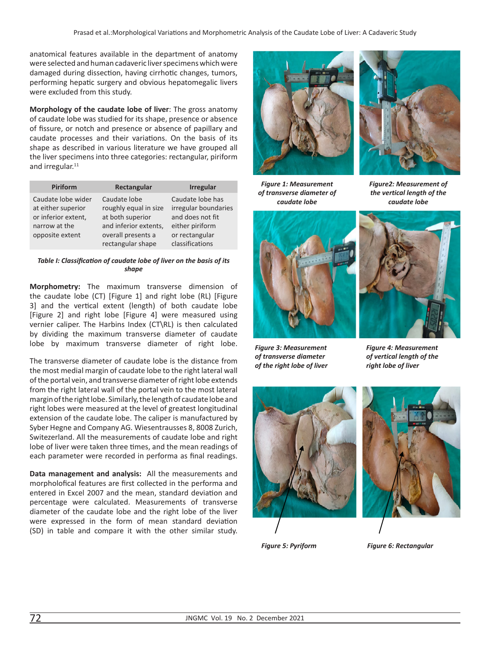anatomical features available in the department of anatomy were selected and human cadaveric liver specimens which were damaged during dissection, having cirrhotic changes, tumors, performing hepatic surgery and obvious hepatomegalic livers were excluded from this study.

**Morphology of the caudate lobe of liver**: The gross anatomy of caudate lobe was studied for its shape, presence or absence of fissure, or notch and presence or absence of papillary and caudate processes and their variations. On the basis of its shape as described in various literature we have grouped all the liver specimens into three categories: rectangular, piriform and irregular. $11$ 

| <b>Piriform</b>                                                                                     | Rectangular                                                                                                                   | <b>Irregular</b>                                                                                                     |  |
|-----------------------------------------------------------------------------------------------------|-------------------------------------------------------------------------------------------------------------------------------|----------------------------------------------------------------------------------------------------------------------|--|
| Caudate lobe wider<br>at either superior<br>or inferior extent,<br>narrow at the<br>opposite extent | Caudate lobe<br>roughly equal in size<br>at both superior<br>and inferior extents,<br>overall presents a<br>rectangular shape | Caudate lobe has<br>irregular boundaries<br>and does not fit<br>either piriform<br>or rectangular<br>classifications |  |

#### *Table I: Classification of caudate lobe of liver on the basis of its shape*

**Morphometry:** The maximum transverse dimension of the caudate lobe (CT) [Figure 1] and right lobe (RL) [Figure 3] and the vertical extent (length) of both caudate lobe [Figure 2] and right lobe [Figure 4] were measured using vernier caliper. The Harbins Index (CT\RL) is then calculated by dividing the maximum transverse diameter of caudate lobe by maximum transverse diameter of right lobe.

The transverse diameter of caudate lobe is the distance from the most medial margin of caudate lobe to the right lateral wall of the portal vein, and transverse diameter of right lobe extends from the right lateral wall of the portal vein to the most lateral margin of the right lobe. Similarly, the length of caudate lobe and right lobes were measured at the level of greatest longitudinal extension of the caudate lobe. The caliper is manufactured by Syber Hegne and Company AG. Wiesentrausses 8, 8008 Zurich, Switezerland. All the measurements of caudate lobe and right lobe of liver were taken three times, and the mean readings of each parameter were recorded in performa as final readings.

**Data management and analysis:** All the measurements and morpholofical features are first collected in the performa and entered in Excel 2007 and the mean, standard deviation and percentage were calculated. Measurements of transverse diameter of the caudate lobe and the right lobe of the liver were expressed in the form of mean standard deviation (SD) in table and compare it with the other similar study.





*Figure 1: Measurement of transverse diameter of caudate lobe*

*Figure2: Measurement of the vertical length of the caudate lobe*



*Figure 3: Measurement of transverse diameter of the right lobe of liver*



*Figure 4: Measurement of vertical length of the right lobe of liver*





*Figure 5: Pyriform Figure 6: Rectangular*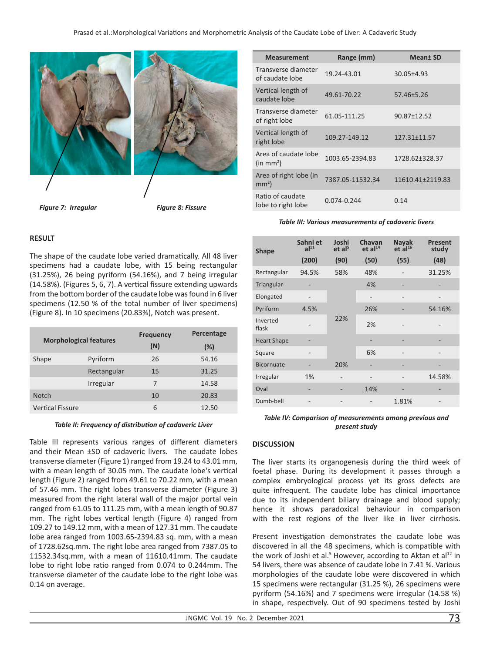

*Figure 7: Irregular Figure 8: Fissure*

# **RESULT**

The shape of the caudate lobe varied dramatically. All 48 liver specimens had a caudate lobe, with 15 being rectangular (31.25%), 26 being pyriform (54.16%), and 7 being irregular (14.58%). (Figures 5, 6, 7). A vertical fissure extending upwards from the bottom border of the caudate lobe was found in 6 liver specimens (12.50 % of the total number of liver specimens) (Figure 8). In 10 specimens (20.83%), Notch was present.

| <b>Morphological features</b> |             | <b>Frequency</b><br>(N) | Percentage<br>(%) |
|-------------------------------|-------------|-------------------------|-------------------|
| Shape                         | Pyriform    | 26                      | 54.16             |
|                               | Rectangular | 15                      | 31.25             |
|                               | Irregular   | 7                       | 14.58             |
| <b>Notch</b>                  |             | 10                      | 20.83             |
| <b>Vertical Fissure</b>       |             | 6                       | 12.50             |

#### *Table II: Frequency of distribution of cadaveric Liver*

Table III represents various ranges of different diameters and their Mean ±SD of cadaveric livers. The caudate lobes transverse diameter (Figure 1) ranged from 19.24 to 43.01 mm, with a mean length of 30.05 mm. The caudate lobe's vertical length (Figure 2) ranged from 49.61 to 70.22 mm, with a mean of 57.46 mm. The right lobes transverse diameter (Figure 3) measured from the right lateral wall of the major portal vein ranged from 61.05 to 111.25 mm, with a mean length of 90.87 mm. The right lobes vertical length (Figure 4) ranged from 109.27 to 149.12 mm, with a mean of 127.31 mm. The caudate lobe area ranged from 1003.65-2394.83 sq. mm, with a mean of 1728.62sq.mm. The right lobe area ranged from 7387.05 to 11532.34sq.mm, with a mean of 11610.41mm. The caudate lobe to right lobe ratio ranged from 0.074 to 0.244mm. The transverse diameter of the caudate lobe to the right lobe was 0.14 on average.

| <b>Measurement</b>                            | Range (mm)       | <b>Meant SD</b>  |
|-----------------------------------------------|------------------|------------------|
| Transverse diameter<br>of caudate lobe        | 19.24-43.01      | 30.05±4.93       |
| Vertical length of<br>caudate lobe            | 49.61-70.22      | 57.46±5.26       |
| Transverse diameter<br>of right lobe          | 61.05-111.25     | 90.87±12.52      |
| Vertical length of<br>right lobe              | 109.27-149.12    | 127.31±11.57     |
| Area of caudate lobe<br>(in mm <sup>2</sup> ) | 1003.65-2394.83  | 1728.62±328.37   |
| Area of right lobe (in<br>mm <sup>2</sup>     | 7387.05-11532.34 | 11610.41±2119.83 |
| Ratio of caudate<br>lobe to right lobe        | 0.074-0.244      | 0.14             |

*Table III: Various measurements of cadaveric livers*

| <b>Shape</b>       | Sahni et<br>al <sup>11</sup><br>(200) | Joshi<br>et al <sup>5</sup><br>(90) | Chavan<br>et al <sup>14</sup><br>(50) | <b>Nayak</b><br>$et$ al <sup>16</sup><br>(55) | Present<br>study<br>(48) |
|--------------------|---------------------------------------|-------------------------------------|---------------------------------------|-----------------------------------------------|--------------------------|
| Rectangular        | 94.5%                                 | 58%                                 | 48%                                   |                                               | 31.25%                   |
| Triangular         | ٠                                     | 22%                                 | 4%                                    | ۰                                             |                          |
| Elongated          |                                       |                                     |                                       |                                               |                          |
| Pyriform           | 4.5%                                  |                                     | 26%                                   |                                               | 54.16%                   |
| Inverted<br>flask  |                                       |                                     | 2%                                    |                                               |                          |
| <b>Heart Shape</b> | ٠                                     |                                     |                                       |                                               |                          |
| Square             |                                       |                                     | 6%                                    |                                               |                          |
| <b>Bicornuate</b>  |                                       | 20%                                 |                                       |                                               |                          |
| Irregular          | 1%                                    |                                     |                                       |                                               | 14.58%                   |
| Oval               |                                       |                                     | 14%                                   |                                               |                          |
| Dumb-bell          |                                       |                                     |                                       | 1.81%                                         |                          |

### *Table IV: Comparison of measurements among previous and present study*

## **DISCUSSION**

The liver starts its organogenesis during the third week of foetal phase. During its development it passes through a complex embryological process yet its gross defects are quite infrequent. The caudate lobe has clinical importance due to its independent biliary drainage and blood supply; hence it shows paradoxical behaviour in comparison with the rest regions of the liver like in liver cirrhosis.

Present investigation demonstrates the caudate lobe was discovered in all the 48 specimens, which is compatible with the work of Joshi et al.<sup>5</sup> However, according to Aktan et al<sup>12</sup> in 54 livers, there was absence of caudate lobe in 7.41 %. Various morphologies of the caudate lobe were discovered in which 15 specimens were rectangular (31.25 %), 26 specimens were pyriform (54.16%) and 7 specimens were irregular (14.58 %) in shape, respectively. Out of 90 specimens tested by Joshi